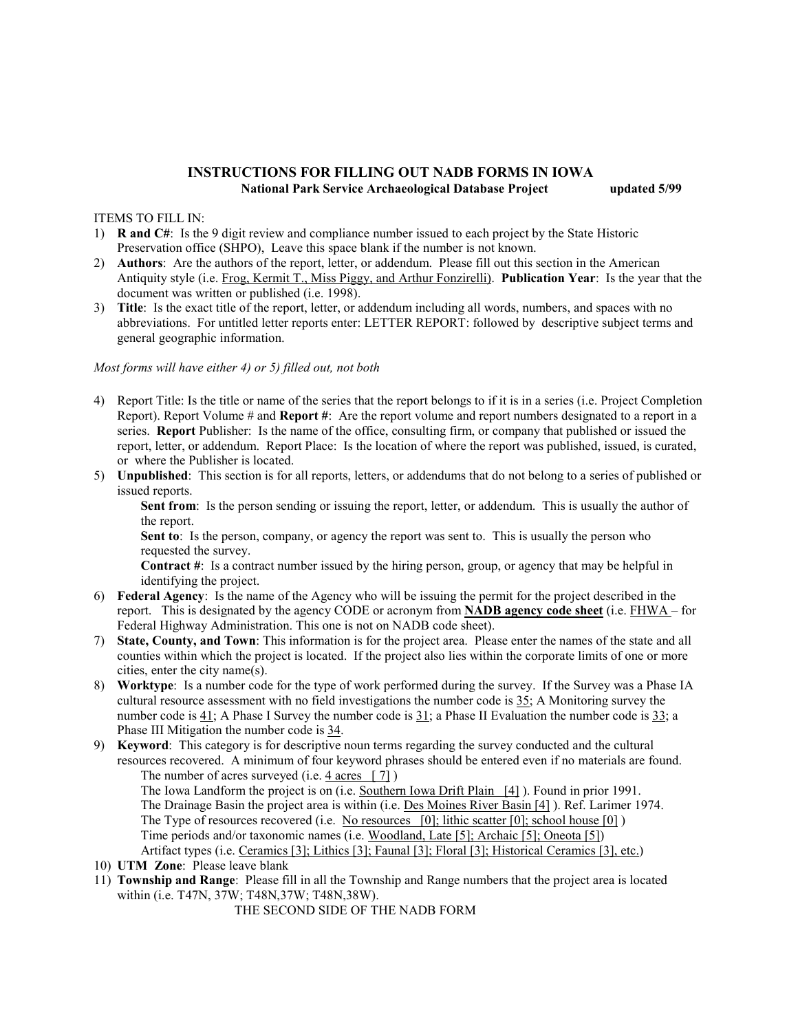## **INSTRUCTIONS FOR FILLING OUT NADB FORMS IN IOWA National Park Service Archaeological Database Project updated 5/99**

## ITEMS TO FILL IN:

- 1) **R and C#**: Is the 9 digit review and compliance number issued to each project by the State Historic Preservation office (SHPO), Leave this space blank if the number is not known.
- 2) **Authors**: Are the authors of the report, letter, or addendum. Please fill out this section in the American Antiquity style (i.e. Frog, Kermit T., Miss Piggy, and Arthur Fonzirelli). **Publication Year**: Is the year that the document was written or published (i.e. 1998).
- 3) **Title**: Is the exact title of the report, letter, or addendum including all words, numbers, and spaces with no abbreviations. For untitled letter reports enter: LETTER REPORT: followed by descriptive subject terms and general geographic information.

## *Most forms will have either 4) or 5) filled out, not both*

- 4) Report Title: Is the title or name of the series that the report belongs to if it is in a series (i.e. Project Completion Report). Report Volume # and **Report #**: Are the report volume and report numbers designated to a report in a series. **Report** Publisher: Is the name of the office, consulting firm, or company that published or issued the report, letter, or addendum. Report Place: Is the location of where the report was published, issued, is curated, or where the Publisher is located.
- 5) **Unpublished**: This section is for all reports, letters, or addendums that do not belong to a series of published or issued reports.

**Sent from**: Is the person sending or issuing the report, letter, or addendum. This is usually the author of the report.

**Sent to**: Is the person, company, or agency the report was sent to. This is usually the person who requested the survey.

**Contract #**: Is a contract number issued by the hiring person, group, or agency that may be helpful in identifying the project.

- 6) **Federal Agency**: Is the name of the Agency who will be issuing the permit for the project described in the report. This is designated by the agency CODE or acronym from **NADB agency code sheet** (i.e. FHWA – for Federal Highway Administration. This one is not on NADB code sheet).
- 7) **State, County, and Town**: This information is for the project area. Please enter the names of the state and all counties within which the project is located. If the project also lies within the corporate limits of one or more cities, enter the city name(s).
- 8) **Worktype**: Is a number code for the type of work performed during the survey. If the Survey was a Phase IA cultural resource assessment with no field investigations the number code is 35; A Monitoring survey the number code is 41; A Phase I Survey the number code is 31; a Phase II Evaluation the number code is 33; a Phase III Mitigation the number code is 34.
- 9) **Keyword**: This category is for descriptive noun terms regarding the survey conducted and the cultural resources recovered. A minimum of four keyword phrases should be entered even if no materials are found. The number of acres surveyed (i.e. 4 acres [ 7])

The Iowa Landform the project is on (i.e. Southern Iowa Drift Plain [4] ). Found in prior 1991. The Drainage Basin the project area is within (i.e. Des Moines River Basin [4] ). Ref. Larimer 1974. The Type of resources recovered (i.e. No resources [0]; lithic scatter [0]; school house [0] ) Time periods and/or taxonomic names (i.e. Woodland, Late [5]; Archaic [5]; Oneota [5]) Artifact types (i.e. Ceramics [3]; Lithics [3]; Faunal [3]; Floral [3]; Historical Ceramics [3], etc.)

- 10) **UTM Zone**: Please leave blank
- 11) **Township and Range**: Please fill in all the Township and Range numbers that the project area is located within (i.e. T47N, 37W; T48N,37W; T48N,38W).

THE SECOND SIDE OF THE NADB FORM